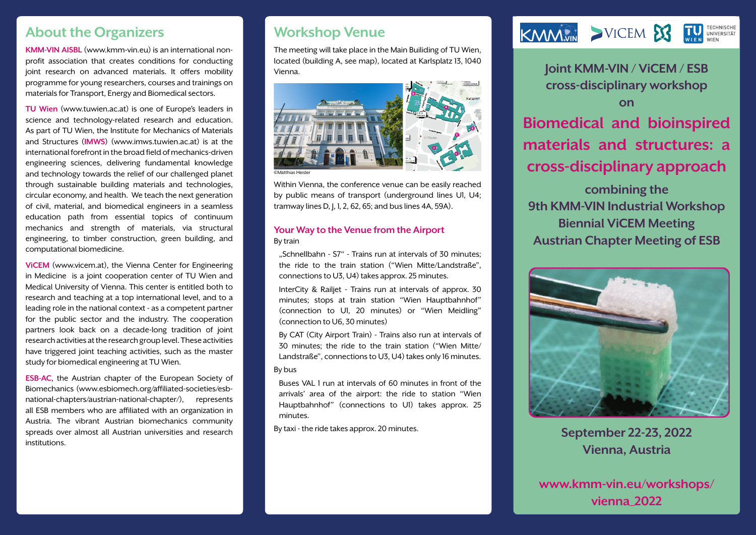## **About the Organizers**

**KMM-VIN AISBL** (www.kmm-vin.eu) is an international nonprofit association that creates conditions for conducting joint research on advanced materials. It offers mobility programme for young researchers, courses and trainings on materials for Transport, Energy and Biomedical sectors.

**TU Wien** (www.tuwien.ac.at) is one of Europe's leaders in science and technology-related research and education. As part of TU Wien, the Institute for Mechanics of Materials and Structures (**IMWS**) (www.imws.tuwien.ac.at) is at the international forefront in the broad field of mechanics-driven engineering sciences, delivering fundamental knowledge and technology towards the relief of our challenged planet through sustainable building materials and technologies, circular economy, and health. We teach the next generation of civil, material, and biomedical engineers in a seamless education path from essential topics of continuum mechanics and strength of materials, via structural engineering, to timber construction, green building, and computational biomedicine.

**ViCEM** (www.vicem.at), the Vienna Center for Engineering in Medicine is a joint cooperation center of TU Wien and Medical University of Vienna. This center is entitled both to research and teaching at a top international level, and to a leading role in the national context - as a competent partner for the public sector and the industry. The cooperation partners look back on a decade-long tradition of joint research activities at the research group level. These activities have triggered joint teaching activities, such as the master study for biomedical engineering at TU Wien.

institutions. **ESB-AC**, the Austrian chapter of the European Society of Biomechanics (www.esbiomech.org/affiliated-societies/esbnational-chapters/austrian-national-chapter/), represents all ESB members who are affiliated with an organization in Austria. The vibrant Austrian biomechanics community spreads over almost all Austrian universities and research

## **Workshop Venue**

The meeting will take place in the Main Builiding of TU Wien, located (building A, see map), located at Karlsplatz 13, 1040 Vienna.



Within Vienna, the conference venue can be easily reached by public means of transport (underground lines U1, U4; tramway lines D, J, 1, 2, 62, 65; and bus lines 4A, 59A).

#### **Your Way to the Venue from the Airport** By train

...Schnellbahn - S7" - Trains run at intervals of 30 minutes: the ride to the train station ("Wien Mitte/Landstraße", connections to U3, U4) takes approx. 25 minutes.

InterCity & Railjet - Trains run at intervals of approx. 30 minutes; stops at train station "Wien Hauptbahnhof" (connection to U1, 20 minutes) or "Wien Meidling" (connection to U6, 30 minutes)

By CAT (City Airport Train) - Trains also run at intervals of 30 minutes; the ride to the train station ("Wien Mitte/ Landstraße", connections to U3, U4) takes only 16 minutes.

#### By bus

Buses VAL 1 run at intervals of 60 minutes in front of the arrivals' area of the airport: the ride to station "Wien Hauptbahnhof" (connections to U1) takes approx. 25 minutes.

By taxi - the ride takes approx. 20 minutes.



**Joint KMM-VIN / ViCEM / ESB cross-disciplinary workshop on** 

**Biomedical and bioinspired materials and structures: a cross-disciplinary approach combining the 9th KMM-VIN Industrial Workshop**

**Biennial ViCEM Meeting Austrian Chapter Meeting of ESB**



**September 22-23, 2022 Vienna, Austria**

**www.kmm-vin.eu/workshops/ vienna\_2022**